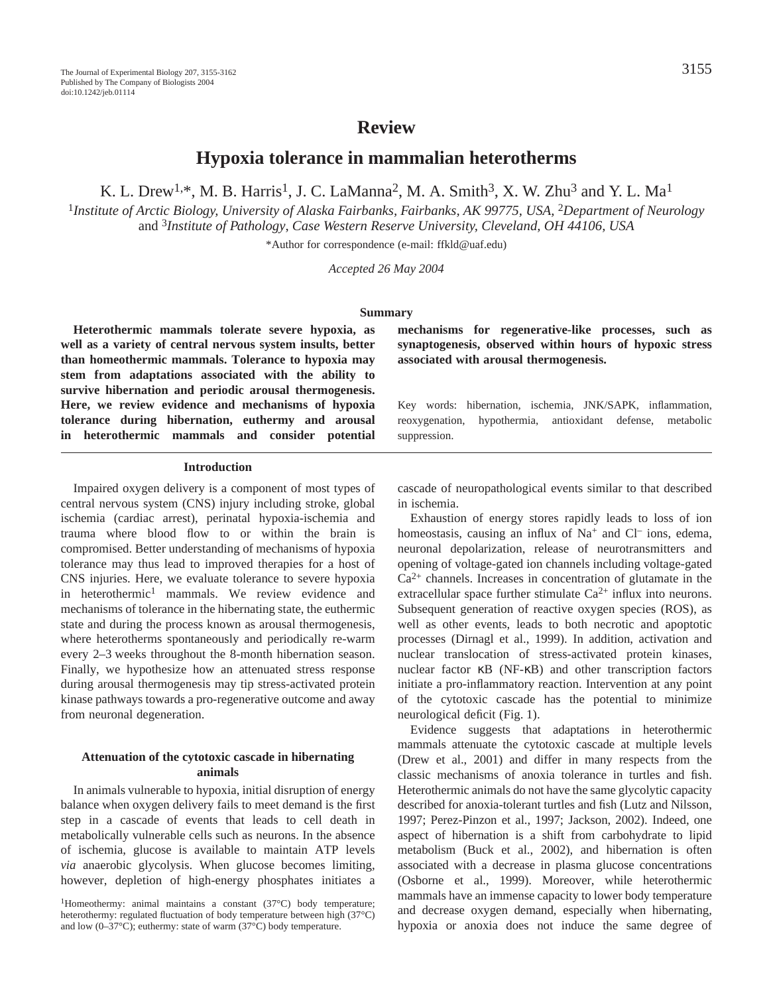# **Review**

**Hypoxia tolerance in mammalian heterotherms**

K. L. Drew<sup>1,\*</sup>, M. B. Harris<sup>1</sup>, J. C. LaManna<sup>2</sup>, M. A. Smith<sup>3</sup>, X. W. Zhu<sup>3</sup> and Y. L. Ma<sup>1</sup>

<sup>1</sup>Institute of Arctic Biology, University of Alaska Fairbanks, Fairbanks, AK 99775, USA, <sup>2</sup>Department of Neurology and 3*Institute of Pathology*, *Case Western Reserve University, Cleveland, OH 44106, USA*

\*Author for correspondence (e-mail: ffkld@uaf.edu)

*Accepted 26 May 2004*

#### **Summary**

**Heterothermic mammals tolerate severe hypoxia, as well as a variety of central nervous system insults, better than homeothermic mammals. Tolerance to hypoxia may stem from adaptations associated with the ability to survive hibernation and periodic arousal thermogenesis. Here, we review evidence and mechanisms of hypoxia tolerance during hibernation, euthermy and arousal in heterothermic mammals and consider potential**

#### **Introduction**

Impaired oxygen delivery is a component of most types of central nervous system (CNS) injury including stroke, global ischemia (cardiac arrest), perinatal hypoxia-ischemia and trauma where blood flow to or within the brain is compromised. Better understanding of mechanisms of hypoxia tolerance may thus lead to improved therapies for a host of CNS injuries. Here, we evaluate tolerance to severe hypoxia in heterothermic<sup>1</sup> mammals. We review evidence and mechanisms of tolerance in the hibernating state, the euthermic state and during the process known as arousal thermogenesis, where heterotherms spontaneously and periodically re-warm every 2–3 weeks throughout the 8-month hibernation season. Finally, we hypothesize how an attenuated stress response during arousal thermogenesis may tip stress-activated protein kinase pathways towards a pro-regenerative outcome and away from neuronal degeneration.

#### **Attenuation of the cytotoxic cascade in hibernating animals**

In animals vulnerable to hypoxia, initial disruption of energy balance when oxygen delivery fails to meet demand is the first step in a cascade of events that leads to cell death in metabolically vulnerable cells such as neurons. In the absence of ischemia, glucose is available to maintain ATP levels *via* anaerobic glycolysis. When glucose becomes limiting, however, depletion of high-energy phosphates initiates a **mechanisms for regenerative-like processes, such as synaptogenesis, observed within hours of hypoxic stress associated with arousal thermogenesis.**

Key words: hibernation, ischemia, JNK/SAPK, inflammation, reoxygenation, hypothermia, antioxidant defense, metabolic suppression.

cascade of neuropathological events similar to that described in ischemia.

Exhaustion of energy stores rapidly leads to loss of ion homeostasis, causing an influx of  $Na<sup>+</sup>$  and  $Cl<sup>-</sup>$  ions, edema, neuronal depolarization, release of neurotransmitters and opening of voltage-gated ion channels including voltage-gated  $Ca<sup>2+</sup>$  channels. Increases in concentration of glutamate in the extracellular space further stimulate  $Ca^{2+}$  influx into neurons. Subsequent generation of reactive oxygen species (ROS), as well as other events, leads to both necrotic and apoptotic processes (Dirnagl et al., 1999). In addition, activation and nuclear translocation of stress-activated protein kinases, nuclear factor κB (NF-κB) and other transcription factors initiate a pro-inflammatory reaction. Intervention at any point of the cytotoxic cascade has the potential to minimize neurological deficit (Fig. 1).

Evidence suggests that adaptations in heterothermic mammals attenuate the cytotoxic cascade at multiple levels (Drew et al., 2001) and differ in many respects from the classic mechanisms of anoxia tolerance in turtles and fish. Heterothermic animals do not have the same glycolytic capacity described for anoxia-tolerant turtles and fish (Lutz and Nilsson, 1997; Perez-Pinzon et al., 1997; Jackson, 2002). Indeed, one aspect of hibernation is a shift from carbohydrate to lipid metabolism (Buck et al., 2002), and hibernation is often associated with a decrease in plasma glucose concentrations (Osborne et al., 1999). Moreover, while heterothermic mammals have an immense capacity to lower body temperature and decrease oxygen demand, especially when hibernating, hypoxia or anoxia does not induce the same degree of

<sup>&</sup>lt;sup>1</sup>Homeothermy: animal maintains a constant (37°C) body temperature; heterothermy: regulated fluctuation of body temperature between high (37°C) and low (0–37°C); euthermy: state of warm (37°C) body temperature.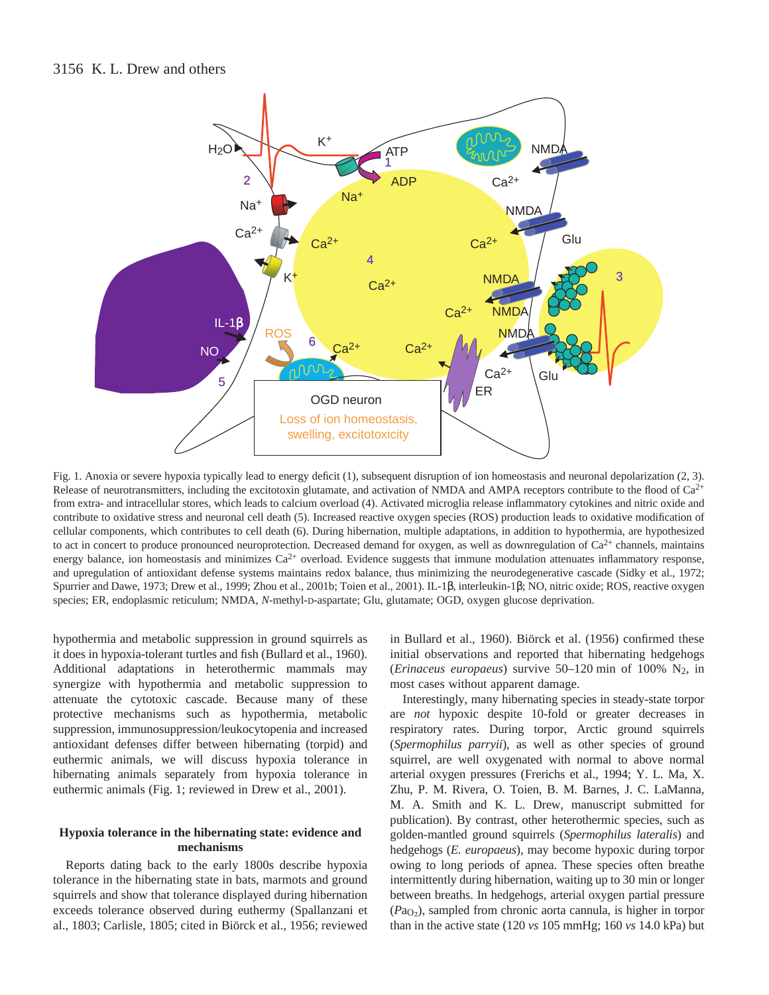

Fig. 1. Anoxia or severe hypoxia typically lead to energy deficit (1), subsequent disruption of ion homeostasis and neuronal depolarization (2, 3). Release of neurotransmitters, including the excitotoxin glutamate, and activation of NMDA and AMPA receptors contribute to the flood of  $Ca^{2+}$ from extra- and intracellular stores, which leads to calcium overload (4). Activated microglia release inflammatory cytokines and nitric oxide and contribute to oxidative stress and neuronal cell death (5). Increased reactive oxygen species (ROS) production leads to oxidative modification of cellular components, which contributes to cell death (6). During hibernation, multiple adaptations, in addition to hypothermia, are hypothesized to act in concert to produce pronounced neuroprotection. Decreased demand for oxygen, as well as downregulation of  $Ca<sup>2+</sup>$  channels, maintains energy balance, ion homeostasis and minimizes  $Ca<sup>2+</sup>$  overload. Evidence suggests that immune modulation attenuates inflammatory response, and upregulation of antioxidant defense systems maintains redox balance, thus minimizing the neurodegenerative cascade (Sidky et al., 1972; Spurrier and Dawe, 1973; Drew et al., 1999; Zhou et al., 2001b; Toien et al., 2001). IL-1β, interleukin-1β; NO, nitric oxide; ROS, reactive oxygen species; ER, endoplasmic reticulum; NMDA, *N*-methyl-D-aspartate; Glu, glutamate; OGD, oxygen glucose deprivation.

hypothermia and metabolic suppression in ground squirrels as it does in hypoxia-tolerant turtles and fish (Bullard et al., 1960). Additional adaptations in heterothermic mammals may synergize with hypothermia and metabolic suppression to attenuate the cytotoxic cascade. Because many of these protective mechanisms such as hypothermia, metabolic suppression, immunosuppression/leukocytopenia and increased antioxidant defenses differ between hibernating (torpid) and euthermic animals, we will discuss hypoxia tolerance in hibernating animals separately from hypoxia tolerance in euthermic animals (Fig. 1; reviewed in Drew et al., 2001).

#### **Hypoxia tolerance in the hibernating state: evidence and mechanisms**

Reports dating back to the early 1800s describe hypoxia tolerance in the hibernating state in bats, marmots and ground squirrels and show that tolerance displayed during hibernation exceeds tolerance observed during euthermy (Spallanzani et al., 1803; Carlisle, 1805; cited in Biörck et al., 1956; reviewed

in Bullard et al., 1960). Biörck et al. (1956) confirmed these initial observations and reported that hibernating hedgehogs (*Erinaceus europaeus*) survive 50–120 min of 100% N<sub>2</sub>, in most cases without apparent damage.

Interestingly, many hibernating species in steady-state torpor are *not* hypoxic despite 10-fold or greater decreases in respiratory rates. During torpor, Arctic ground squirrels (*Spermophilus parryii*), as well as other species of ground squirrel, are well oxygenated with normal to above normal arterial oxygen pressures (Frerichs et al., 1994; Y. L. Ma, X. Zhu, P. M. Rivera, O. Toien, B. M. Barnes, J. C. LaManna, M. A. Smith and K. L. Drew, manuscript submitted for publication). By contrast, other heterothermic species, such as golden-mantled ground squirrels (*Spermophilus lateralis*) and hedgehogs (*E. europaeus*), may become hypoxic during torpor owing to long periods of apnea. These species often breathe intermittently during hibernation, waiting up to 30 min or longer between breaths. In hedgehogs, arterial oxygen partial pressure (*P*aO∑), sampled from chronic aorta cannula, is higher in torpor than in the active state (120 *vs* 105 mmHg; 160 *vs* 14.0 kPa) but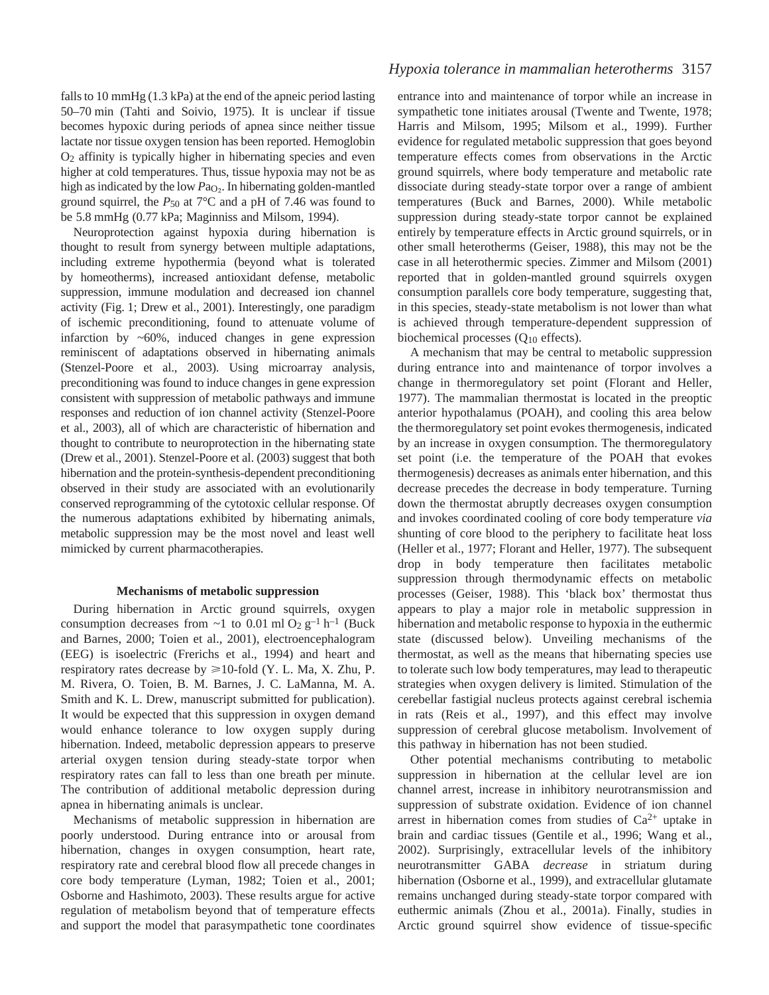falls to 10  $mmHg$  (1.3 kPa) at the end of the apneic period lasting 50–70 min (Tahti and Soivio, 1975). It is unclear if tissue becomes hypoxic during periods of apnea since neither tissue lactate nor tissue oxygen tension has been reported. Hemoglobin O2 affinity is typically higher in hibernating species and even higher at cold temperatures. Thus, tissue hypoxia may not be as high as indicated by the low  $Pa<sub>O2</sub>$ . In hibernating golden-mantled ground squirrel, the  $P_{50}$  at  $7^{\circ}$ C and a pH of 7.46 was found to be 5.8 mmHg (0.77 kPa; Maginniss and Milsom, 1994).

Neuroprotection against hypoxia during hibernation is thought to result from synergy between multiple adaptations, including extreme hypothermia (beyond what is tolerated by homeotherms), increased antioxidant defense, metabolic suppression, immune modulation and decreased ion channel activity (Fig. 1; Drew et al., 2001). Interestingly, one paradigm of ischemic preconditioning, found to attenuate volume of infarction by  $~60\%$ , induced changes in gene expression reminiscent of adaptations observed in hibernating animals (Stenzel-Poore et al., 2003). Using microarray analysis, preconditioning was found to induce changes in gene expression consistent with suppression of metabolic pathways and immune responses and reduction of ion channel activity (Stenzel-Poore et al., 2003), all of which are characteristic of hibernation and thought to contribute to neuroprotection in the hibernating state (Drew et al., 2001). Stenzel-Poore et al. (2003) suggest that both hibernation and the protein-synthesis-dependent preconditioning observed in their study are associated with an evolutionarily conserved reprogramming of the cytotoxic cellular response. Of the numerous adaptations exhibited by hibernating animals, metabolic suppression may be the most novel and least well mimicked by current pharmacotherapies.

#### **Mechanisms of metabolic suppression**

During hibernation in Arctic ground squirrels, oxygen consumption decreases from  $\sim$ 1 to 0.01 ml O<sub>2</sub> g<sup>-1</sup> h<sup>-1</sup> (Buck and Barnes, 2000; Toien et al., 2001), electroencephalogram (EEG) is isoelectric (Frerichs et al., 1994) and heart and respiratory rates decrease by  $\geq 10$ -fold (Y. L. Ma, X. Zhu, P. M. Rivera, O. Toien, B. M. Barnes, J. C. LaManna, M. A. Smith and K. L. Drew, manuscript submitted for publication). It would be expected that this suppression in oxygen demand would enhance tolerance to low oxygen supply during hibernation. Indeed, metabolic depression appears to preserve arterial oxygen tension during steady-state torpor when respiratory rates can fall to less than one breath per minute. The contribution of additional metabolic depression during apnea in hibernating animals is unclear.

Mechanisms of metabolic suppression in hibernation are poorly understood. During entrance into or arousal from hibernation, changes in oxygen consumption, heart rate, respiratory rate and cerebral blood flow all precede changes in core body temperature (Lyman, 1982; Toien et al., 2001; Osborne and Hashimoto, 2003). These results argue for active regulation of metabolism beyond that of temperature effects and support the model that parasympathetic tone coordinates entrance into and maintenance of torpor while an increase in sympathetic tone initiates arousal (Twente and Twente, 1978; Harris and Milsom, 1995; Milsom et al., 1999). Further evidence for regulated metabolic suppression that goes beyond temperature effects comes from observations in the Arctic ground squirrels, where body temperature and metabolic rate dissociate during steady-state torpor over a range of ambient temperatures (Buck and Barnes, 2000). While metabolic suppression during steady-state torpor cannot be explained entirely by temperature effects in Arctic ground squirrels, or in other small heterotherms (Geiser, 1988), this may not be the case in all heterothermic species. Zimmer and Milsom (2001) reported that in golden-mantled ground squirrels oxygen consumption parallels core body temperature, suggesting that, in this species, steady-state metabolism is not lower than what is achieved through temperature-dependent suppression of biochemical processes (Q10 effects).

A mechanism that may be central to metabolic suppression during entrance into and maintenance of torpor involves a change in thermoregulatory set point (Florant and Heller, 1977). The mammalian thermostat is located in the preoptic anterior hypothalamus (POAH), and cooling this area below the thermoregulatory set point evokes thermogenesis, indicated by an increase in oxygen consumption. The thermoregulatory set point (i.e. the temperature of the POAH that evokes thermogenesis) decreases as animals enter hibernation, and this decrease precedes the decrease in body temperature. Turning down the thermostat abruptly decreases oxygen consumption and invokes coordinated cooling of core body temperature *via* shunting of core blood to the periphery to facilitate heat loss (Heller et al., 1977; Florant and Heller, 1977). The subsequent drop in body temperature then facilitates metabolic suppression through thermodynamic effects on metabolic processes (Geiser, 1988). This 'black box' thermostat thus appears to play a major role in metabolic suppression in hibernation and metabolic response to hypoxia in the euthermic state (discussed below). Unveiling mechanisms of the thermostat, as well as the means that hibernating species use to tolerate such low body temperatures, may lead to therapeutic strategies when oxygen delivery is limited. Stimulation of the cerebellar fastigial nucleus protects against cerebral ischemia in rats (Reis et al., 1997), and this effect may involve suppression of cerebral glucose metabolism. Involvement of this pathway in hibernation has not been studied.

Other potential mechanisms contributing to metabolic suppression in hibernation at the cellular level are ion channel arrest, increase in inhibitory neurotransmission and suppression of substrate oxidation. Evidence of ion channel arrest in hibernation comes from studies of  $Ca^{2+}$  uptake in brain and cardiac tissues (Gentile et al., 1996; Wang et al., 2002). Surprisingly, extracellular levels of the inhibitory neurotransmitter GABA *decrease* in striatum during hibernation (Osborne et al., 1999), and extracellular glutamate remains unchanged during steady-state torpor compared with euthermic animals (Zhou et al., 2001a). Finally, studies in Arctic ground squirrel show evidence of tissue-specific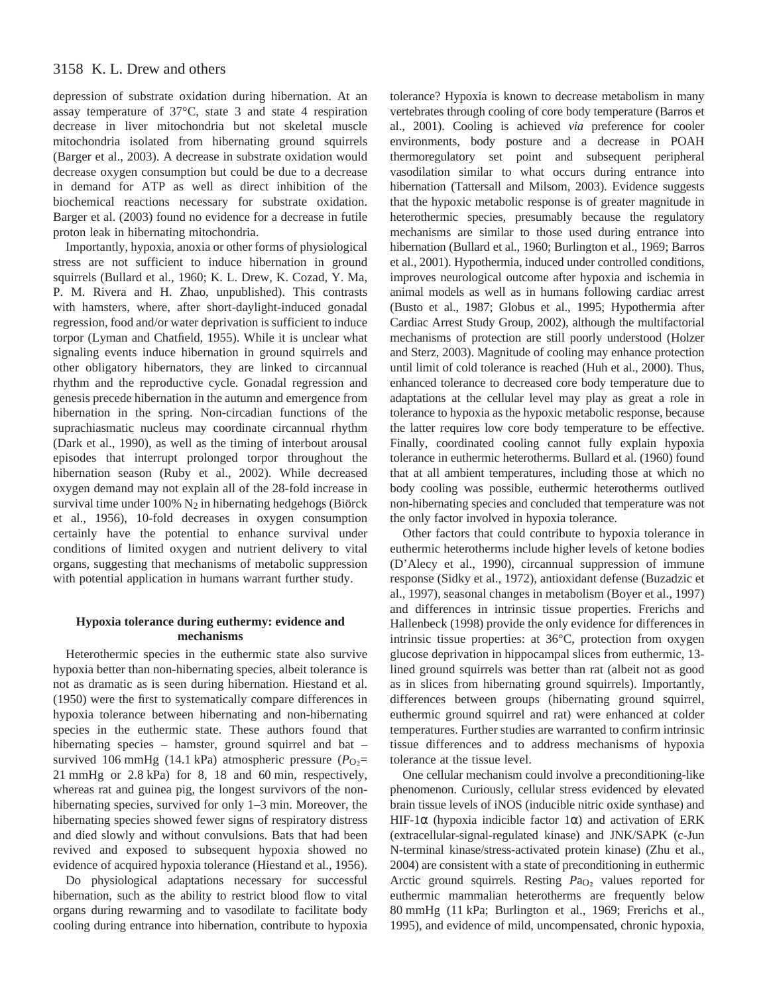depression of substrate oxidation during hibernation. At an assay temperature of 37°C, state 3 and state 4 respiration decrease in liver mitochondria but not skeletal muscle mitochondria isolated from hibernating ground squirrels (Barger et al., 2003). A decrease in substrate oxidation would decrease oxygen consumption but could be due to a decrease in demand for ATP as well as direct inhibition of the biochemical reactions necessary for substrate oxidation. Barger et al. (2003) found no evidence for a decrease in futile proton leak in hibernating mitochondria.

Importantly, hypoxia, anoxia or other forms of physiological stress are not sufficient to induce hibernation in ground squirrels (Bullard et al., 1960; K. L. Drew, K. Cozad, Y. Ma, P. M. Rivera and H. Zhao, unpublished). This contrasts with hamsters, where, after short-daylight-induced gonadal regression, food and/or water deprivation is sufficient to induce torpor (Lyman and Chatfield, 1955). While it is unclear what signaling events induce hibernation in ground squirrels and other obligatory hibernators, they are linked to circannual rhythm and the reproductive cycle. Gonadal regression and genesis precede hibernation in the autumn and emergence from hibernation in the spring. Non-circadian functions of the suprachiasmatic nucleus may coordinate circannual rhythm (Dark et al., 1990), as well as the timing of interbout arousal episodes that interrupt prolonged torpor throughout the hibernation season (Ruby et al., 2002). While decreased oxygen demand may not explain all of the 28-fold increase in survival time under 100% N<sub>2</sub> in hibernating hedgehogs (Biörck et al., 1956), 10-fold decreases in oxygen consumption certainly have the potential to enhance survival under conditions of limited oxygen and nutrient delivery to vital organs, suggesting that mechanisms of metabolic suppression with potential application in humans warrant further study.

#### **Hypoxia tolerance during euthermy: evidence and mechanisms**

Heterothermic species in the euthermic state also survive hypoxia better than non-hibernating species, albeit tolerance is not as dramatic as is seen during hibernation. Hiestand et al. (1950) were the first to systematically compare differences in hypoxia tolerance between hibernating and non-hibernating species in the euthermic state. These authors found that hibernating species – hamster, ground squirrel and bat – survived 106 mmHg (14.1 kPa) atmospheric pressure ( $P_{\text{O}_2}$ = 21 mmHg or  $2.8$  kPa) for 8, 18 and 60 min, respectively, whereas rat and guinea pig, the longest survivors of the nonhibernating species, survived for only  $1-3$  min. Moreover, the hibernating species showed fewer signs of respiratory distress and died slowly and without convulsions. Bats that had been revived and exposed to subsequent hypoxia showed no evidence of acquired hypoxia tolerance (Hiestand et al., 1956).

Do physiological adaptations necessary for successful hibernation, such as the ability to restrict blood flow to vital organs during rewarming and to vasodilate to facilitate body cooling during entrance into hibernation, contribute to hypoxia tolerance? Hypoxia is known to decrease metabolism in many vertebrates through cooling of core body temperature (Barros et al., 2001). Cooling is achieved *via* preference for cooler environments, body posture and a decrease in POAH thermoregulatory set point and subsequent peripheral vasodilation similar to what occurs during entrance into hibernation (Tattersall and Milsom, 2003). Evidence suggests that the hypoxic metabolic response is of greater magnitude in heterothermic species, presumably because the regulatory mechanisms are similar to those used during entrance into hibernation (Bullard et al., 1960; Burlington et al., 1969; Barros et al., 2001). Hypothermia, induced under controlled conditions, improves neurological outcome after hypoxia and ischemia in animal models as well as in humans following cardiac arrest (Busto et al., 1987; Globus et al., 1995; Hypothermia after Cardiac Arrest Study Group, 2002), although the multifactorial mechanisms of protection are still poorly understood (Holzer and Sterz, 2003). Magnitude of cooling may enhance protection until limit of cold tolerance is reached (Huh et al., 2000). Thus, enhanced tolerance to decreased core body temperature due to adaptations at the cellular level may play as great a role in tolerance to hypoxia as the hypoxic metabolic response, because the latter requires low core body temperature to be effective. Finally, coordinated cooling cannot fully explain hypoxia tolerance in euthermic heterotherms. Bullard et al. (1960) found that at all ambient temperatures, including those at which no body cooling was possible, euthermic heterotherms outlived non-hibernating species and concluded that temperature was not the only factor involved in hypoxia tolerance.

Other factors that could contribute to hypoxia tolerance in euthermic heterotherms include higher levels of ketone bodies (D'Alecy et al., 1990), circannual suppression of immune response (Sidky et al., 1972), antioxidant defense (Buzadzic et al., 1997), seasonal changes in metabolism (Boyer et al., 1997) and differences in intrinsic tissue properties. Frerichs and Hallenbeck (1998) provide the only evidence for differences in intrinsic tissue properties: at 36°C, protection from oxygen glucose deprivation in hippocampal slices from euthermic, 13 lined ground squirrels was better than rat (albeit not as good as in slices from hibernating ground squirrels). Importantly, differences between groups (hibernating ground squirrel, euthermic ground squirrel and rat) were enhanced at colder temperatures. Further studies are warranted to confirm intrinsic tissue differences and to address mechanisms of hypoxia tolerance at the tissue level.

One cellular mechanism could involve a preconditioning-like phenomenon. Curiously, cellular stress evidenced by elevated brain tissue levels of iNOS (inducible nitric oxide synthase) and HIF-1α (hypoxia indicible factor 1α) and activation of ERK (extracellular-signal-regulated kinase) and JNK/SAPK (c-Jun N-terminal kinase/stress-activated protein kinase) (Zhu et al., 2004) are consistent with a state of preconditioning in euthermic Arctic ground squirrels. Resting *Pa*<sub>O2</sub> values reported for euthermic mammalian heterotherms are frequently below 80 mmHg (11 kPa; Burlington et al., 1969; Frerichs et al., 1995), and evidence of mild, uncompensated, chronic hypoxia,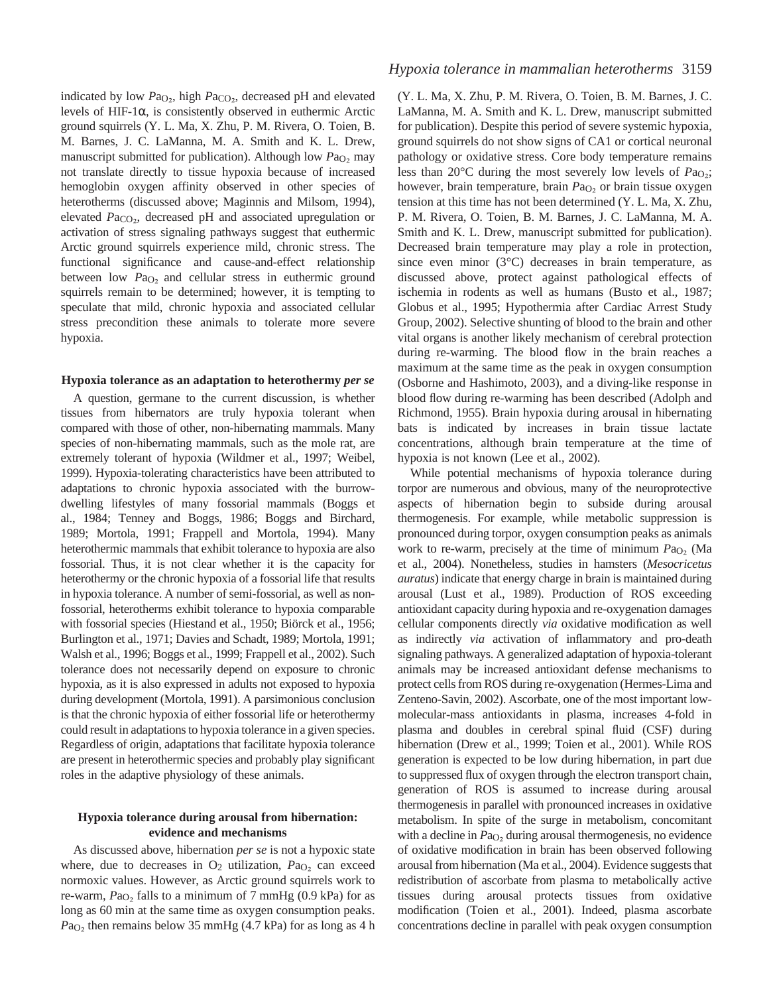indicated by low  $Pa<sub>O2</sub>$ , high  $Pa<sub>CO2</sub>$ , decreased pH and elevated levels of HIF-1α, is consistently observed in euthermic Arctic ground squirrels (Y. L. Ma, X. Zhu, P. M. Rivera, O. Toien, B. M. Barnes, J. C. LaManna, M. A. Smith and K. L. Drew, manuscript submitted for publication). Although low *P*a<sub>O2</sub> may not translate directly to tissue hypoxia because of increased hemoglobin oxygen affinity observed in other species of heterotherms (discussed above; Maginnis and Milsom, 1994), elevated *Pa*<sub>CO2</sub>, decreased pH and associated upregulation or activation of stress signaling pathways suggest that euthermic Arctic ground squirrels experience mild, chronic stress. The functional significance and cause-and-effect relationship between low *P*a<sub>O</sub><sub>2</sub> and cellular stress in euthermic ground squirrels remain to be determined; however, it is tempting to speculate that mild, chronic hypoxia and associated cellular stress precondition these animals to tolerate more severe hypoxia.

#### **Hypoxia tolerance as an adaptation to heterothermy** *per se*

A question, germane to the current discussion, is whether tissues from hibernators are truly hypoxia tolerant when compared with those of other, non-hibernating mammals. Many species of non-hibernating mammals, such as the mole rat, are extremely tolerant of hypoxia (Wildmer et al., 1997; Weibel, 1999). Hypoxia-tolerating characteristics have been attributed to adaptations to chronic hypoxia associated with the burrowdwelling lifestyles of many fossorial mammals (Boggs et al., 1984; Tenney and Boggs, 1986; Boggs and Birchard, 1989; Mortola, 1991; Frappell and Mortola, 1994). Many heterothermic mammals that exhibit tolerance to hypoxia are also fossorial. Thus, it is not clear whether it is the capacity for heterothermy or the chronic hypoxia of a fossorial life that results in hypoxia tolerance. A number of semi-fossorial, as well as nonfossorial, heterotherms exhibit tolerance to hypoxia comparable with fossorial species (Hiestand et al., 1950; Biörck et al., 1956; Burlington et al., 1971; Davies and Schadt, 1989; Mortola, 1991; Walsh et al., 1996; Boggs et al., 1999; Frappell et al., 2002). Such tolerance does not necessarily depend on exposure to chronic hypoxia, as it is also expressed in adults not exposed to hypoxia during development (Mortola, 1991). A parsimonious conclusion is that the chronic hypoxia of either fossorial life or heterothermy could result in adaptations to hypoxia tolerance in a given species. Regardless of origin, adaptations that facilitate hypoxia tolerance are present in heterothermic species and probably play significant roles in the adaptive physiology of these animals.

#### **Hypoxia tolerance during arousal from hibernation: evidence and mechanisms**

As discussed above, hibernation *per se* is not a hypoxic state where, due to decreases in O<sub>2</sub> utilization, Pa<sub>O<sub>2</sub> can exceed</sub> normoxic values. However, as Arctic ground squirrels work to re-warm,  $Pa<sub>O<sub>2</sub></sub>$  falls to a minimum of 7 mmHg (0.9 kPa) for as long as 60 min at the same time as oxygen consumption peaks.  $Pa<sub>O<sub>2</sub></sub>$  then remains below 35 mmHg (4.7 kPa) for as long as 4 h

# *Hypoxia tolerance in mammalian heterotherms* 3159

(Y. L. Ma, X. Zhu, P. M. Rivera, O. Toien, B. M. Barnes, J. C. LaManna, M. A. Smith and K. L. Drew, manuscript submitted for publication). Despite this period of severe systemic hypoxia, ground squirrels do not show signs of CA1 or cortical neuronal pathology or oxidative stress. Core body temperature remains less than 20°C during the most severely low levels of *P*a<sub>O2</sub>; however, brain temperature, brain *P*a<sub>O2</sub> or brain tissue oxygen tension at this time has not been determined (Y. L. Ma, X. Zhu, P. M. Rivera, O. Toien, B. M. Barnes, J. C. LaManna, M. A. Smith and K. L. Drew, manuscript submitted for publication). Decreased brain temperature may play a role in protection, since even minor (3°C) decreases in brain temperature, as discussed above, protect against pathological effects of ischemia in rodents as well as humans (Busto et al., 1987; Globus et al., 1995; Hypothermia after Cardiac Arrest Study Group, 2002). Selective shunting of blood to the brain and other vital organs is another likely mechanism of cerebral protection during re-warming. The blood flow in the brain reaches a maximum at the same time as the peak in oxygen consumption (Osborne and Hashimoto, 2003), and a diving-like response in blood flow during re-warming has been described (Adolph and Richmond, 1955). Brain hypoxia during arousal in hibernating bats is indicated by increases in brain tissue lactate concentrations, although brain temperature at the time of hypoxia is not known (Lee et al., 2002).

While potential mechanisms of hypoxia tolerance during torpor are numerous and obvious, many of the neuroprotective aspects of hibernation begin to subside during arousal thermogenesis. For example, while metabolic suppression is pronounced during torpor, oxygen consumption peaks as animals work to re-warm, precisely at the time of minimum *Pa*<sub>O2</sub> (Ma et al., 2004). Nonetheless, studies in hamsters (*Mesocricetus auratus*) indicate that energy charge in brain is maintained during arousal (Lust et al., 1989). Production of ROS exceeding antioxidant capacity during hypoxia and re-oxygenation damages cellular components directly *via* oxidative modification as well as indirectly *via* activation of inflammatory and pro-death signaling pathways. A generalized adaptation of hypoxia-tolerant animals may be increased antioxidant defense mechanisms to protect cells from ROS during re-oxygenation (Hermes-Lima and Zenteno-Savin, 2002). Ascorbate, one of the most important lowmolecular-mass antioxidants in plasma, increases 4-fold in plasma and doubles in cerebral spinal fluid (CSF) during hibernation (Drew et al., 1999; Toien et al., 2001). While ROS generation is expected to be low during hibernation, in part due to suppressed flux of oxygen through the electron transport chain, generation of ROS is assumed to increase during arousal thermogenesis in parallel with pronounced increases in oxidative metabolism. In spite of the surge in metabolism, concomitant with a decline in *Pa*<sub>O2</sub> during arousal thermogenesis, no evidence of oxidative modification in brain has been observed following arousal from hibernation (Ma et al., 2004). Evidence suggests that redistribution of ascorbate from plasma to metabolically active tissues during arousal protects tissues from oxidative modification (Toien et al., 2001). Indeed, plasma ascorbate concentrations decline in parallel with peak oxygen consumption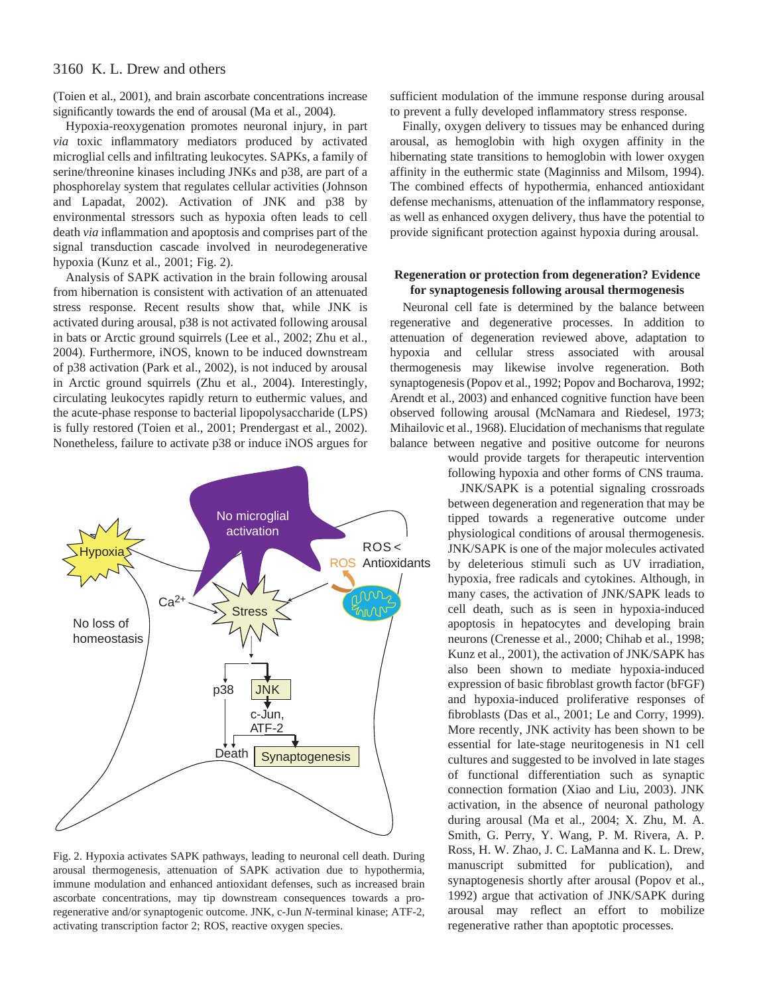(Toien et al., 2001), and brain ascorbate concentrations increase significantly towards the end of arousal (Ma et al., 2004).

Hypoxia-reoxygenation promotes neuronal injury, in part *via* toxic inflammatory mediators produced by activated microglial cells and infiltrating leukocytes. SAPKs, a family of serine/threonine kinases including JNKs and p38, are part of a phosphorelay system that regulates cellular activities (Johnson and Lapadat, 2002). Activation of JNK and p38 by environmental stressors such as hypoxia often leads to cell death *via* inflammation and apoptosis and comprises part of the signal transduction cascade involved in neurodegenerative hypoxia (Kunz et al., 2001; Fig. 2).

Analysis of SAPK activation in the brain following arousal from hibernation is consistent with activation of an attenuated stress response. Recent results show that, while JNK is activated during arousal, p38 is not activated following arousal in bats or Arctic ground squirrels (Lee et al., 2002; Zhu et al., 2004). Furthermore, iNOS, known to be induced downstream of p38 activation (Park et al., 2002), is not induced by arousal in Arctic ground squirrels (Zhu et al., 2004). Interestingly, circulating leukocytes rapidly return to euthermic values, and the acute-phase response to bacterial lipopolysaccharide (LPS) is fully restored (Toien et al., 2001; Prendergast et al., 2002). Nonetheless, failure to activate p38 or induce iNOS argues for



Fig. 2. Hypoxia activates SAPK pathways, leading to neuronal cell death. During arousal thermogenesis, attenuation of SAPK activation due to hypothermia, immune modulation and enhanced antioxidant defenses, such as increased brain ascorbate concentrations, may tip downstream consequences towards a proregenerative and/or synaptogenic outcome. JNK, c-Jun *N*-terminal kinase; ATF-2, activating transcription factor 2; ROS, reactive oxygen species.

sufficient modulation of the immune response during arousal to prevent a fully developed inflammatory stress response.

Finally, oxygen delivery to tissues may be enhanced during arousal, as hemoglobin with high oxygen affinity in the hibernating state transitions to hemoglobin with lower oxygen affinity in the euthermic state (Maginniss and Milsom, 1994). The combined effects of hypothermia, enhanced antioxidant defense mechanisms, attenuation of the inflammatory response, as well as enhanced oxygen delivery, thus have the potential to provide significant protection against hypoxia during arousal.

#### **Regeneration or protection from degeneration? Evidence for synaptogenesis following arousal thermogenesis**

Neuronal cell fate is determined by the balance between regenerative and degenerative processes. In addition to attenuation of degeneration reviewed above, adaptation to hypoxia and cellular stress associated with arousal thermogenesis may likewise involve regeneration. Both synaptogenesis (Popov et al., 1992; Popov and Bocharova, 1992; Arendt et al., 2003) and enhanced cognitive function have been observed following arousal (McNamara and Riedesel, 1973; Mihailovic et al., 1968). Elucidation of mechanisms that regulate balance between negative and positive outcome for neurons

> would provide targets for therapeutic intervention following hypoxia and other forms of CNS trauma.

> JNK/SAPK is a potential signaling crossroads between degeneration and regeneration that may be tipped towards a regenerative outcome under physiological conditions of arousal thermogenesis. JNK/SAPK is one of the major molecules activated by deleterious stimuli such as UV irradiation, hypoxia, free radicals and cytokines. Although, in many cases, the activation of JNK/SAPK leads to cell death, such as is seen in hypoxia-induced apoptosis in hepatocytes and developing brain neurons (Crenesse et al., 2000; Chihab et al., 1998; Kunz et al., 2001), the activation of JNK/SAPK has also been shown to mediate hypoxia-induced expression of basic fibroblast growth factor (bFGF) and hypoxia-induced proliferative responses of fibroblasts (Das et al., 2001; Le and Corry, 1999). More recently, JNK activity has been shown to be essential for late-stage neuritogenesis in N1 cell cultures and suggested to be involved in late stages of functional differentiation such as synaptic connection formation (Xiao and Liu, 2003). JNK activation, in the absence of neuronal pathology during arousal (Ma et al., 2004; X. Zhu, M. A. Smith, G. Perry, Y. Wang, P. M. Rivera, A. P. Ross, H. W. Zhao, J. C. LaManna and K. L. Drew, manuscript submitted for publication), and synaptogenesis shortly after arousal (Popov et al., 1992) argue that activation of JNK/SAPK during arousal may reflect an effort to mobilize regenerative rather than apoptotic processes.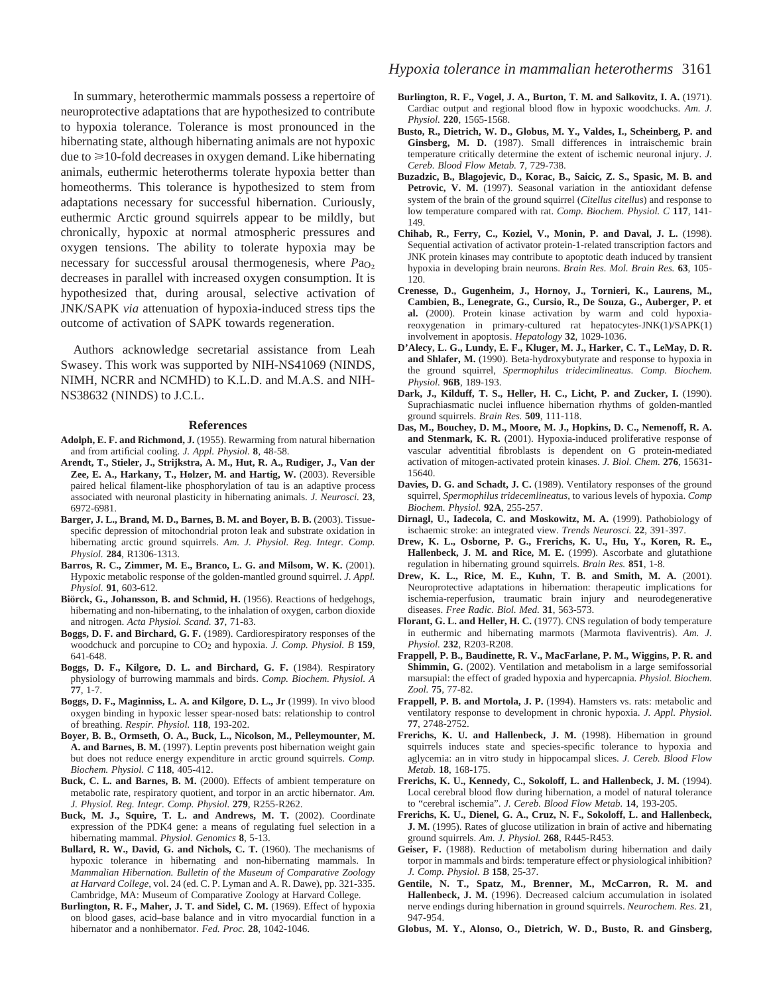In summary, heterothermic mammals possess a repertoire of neuroprotective adaptations that are hypothesized to contribute to hypoxia tolerance. Tolerance is most pronounced in the hibernating state, although hibernating animals are not hypoxic due to  $\geq$  10-fold decreases in oxygen demand. Like hibernating animals, euthermic heterotherms tolerate hypoxia better than homeotherms. This tolerance is hypothesized to stem from adaptations necessary for successful hibernation. Curiously, euthermic Arctic ground squirrels appear to be mildly, but chronically, hypoxic at normal atmospheric pressures and oxygen tensions. The ability to tolerate hypoxia may be necessary for successful arousal thermogenesis, where *P*a<sub>O</sub><sub>2</sub> decreases in parallel with increased oxygen consumption. It is hypothesized that, during arousal, selective activation of JNK/SAPK *via* attenuation of hypoxia-induced stress tips the outcome of activation of SAPK towards regeneration.

Authors acknowledge secretarial assistance from Leah Swasey. This work was supported by NIH-NS41069 (NINDS, NIMH, NCRR and NCMHD) to K.L.D. and M.A.S. and NIH-NS38632 (NINDS) to J.C.L.

#### **References**

- **Adolph, E. F. and Richmond, J.** (1955). Rewarming from natural hibernation and from artificial cooling. *J. Appl. Physiol.* **8**, 48-58.
- **Arendt, T., Stieler, J., Strijkstra, A. M., Hut, R. A., Rudiger, J., Van der Zee, E. A., Harkany, T., Holzer, M. and Hartig, W.** (2003). Reversible paired helical filament-like phosphorylation of tau is an adaptive process associated with neuronal plasticity in hibernating animals. *J. Neurosci.* **23**, 6972-6981.
- **Barger, J. L., Brand, M. D., Barnes, B. M. and Boyer, B. B.** (2003). Tissuespecific depression of mitochondrial proton leak and substrate oxidation in hibernating arctic ground squirrels. *Am. J. Physiol. Reg. Integr. Comp. Physiol.* **284**, R1306-1313.
- **Barros, R. C., Zimmer, M. E., Branco, L. G. and Milsom, W. K.** (2001). Hypoxic metabolic response of the golden-mantled ground squirrel. *J. Appl. Physiol.* **91**, 603-612.
- **Biörck, G., Johansson, B. and Schmid, H.** (1956). Reactions of hedgehogs, hibernating and non-hibernating, to the inhalation of oxygen, carbon dioxide and nitrogen. *Acta Physiol. Scand.* **37**, 71-83.
- **Boggs, D. F. and Birchard, G. F.** (1989). Cardiorespiratory responses of the woodchuck and porcupine to CO2 and hypoxia. *J. Comp. Physiol. B* **159**, 641-648.
- **Boggs, D. F., Kilgore, D. L. and Birchard, G. F.** (1984). Respiratory physiology of burrowing mammals and birds. *Comp. Biochem. Physiol. A* **77**, 1-7.
- **Boggs, D. F., Maginniss, L. A. and Kilgore, D. L., Jr** (1999). In vivo blood oxygen binding in hypoxic lesser spear-nosed bats: relationship to control of breathing. *Respir. Physiol.* **118**, 193-202.
- **Boyer, B. B., Ormseth, O. A., Buck, L., Nicolson, M., Pelleymounter, M. A. and Barnes, B. M.** (1997). Leptin prevents post hibernation weight gain but does not reduce energy expenditure in arctic ground squirrels. *Comp. Biochem. Physiol. C* **118**, 405-412.
- **Buck, C. L. and Barnes, B. M.** (2000). Effects of ambient temperature on metabolic rate, respiratory quotient, and torpor in an arctic hibernator. *Am. J. Physiol. Reg. Integr. Comp. Physiol.* **279**, R255-R262.
- Buck, M. J., Squire, T. L. and Andrews, M. T. (2002). Coordinate expression of the PDK4 gene: a means of regulating fuel selection in a hibernating mammal. *Physiol. Genomics* **8**, 5-13.
- Bullard, R. W., David, G. and Nichols, C. T. (1960). The mechanisms of hypoxic tolerance in hibernating and non-hibernating mammals. In *Mammalian Hibernation. Bulletin of the Museum of Comparative Zoology at Harvard College*, vol. 24 (ed. C. P. Lyman and A. R. Dawe), pp. 321-335. Cambridge, MA: Museum of Comparative Zoology at Harvard College.
- Burlington, R. F., Maher, J. T. and Sidel, C. M. (1969). Effect of hypoxia on blood gases, acid–base balance and in vitro myocardial function in a hibernator and a nonhibernator. *Fed. Proc.* **28**, 1042-1046.
- **Burlington, R. F., Vogel, J. A., Burton, T. M. and Salkovitz, I. A.** (1971). Cardiac output and regional blood flow in hypoxic woodchucks. *Am. J. Physiol.* **220**, 1565-1568.
- **Busto, R., Dietrich, W. D., Globus, M. Y., Valdes, I., Scheinberg, P. and Ginsberg, M. D.** (1987). Small differences in intraischemic brain temperature critically determine the extent of ischemic neuronal injury. *J. Cereb. Blood Flow Metab.* **7**, 729-738.
- **Buzadzic, B., Blagojevic, D., Korac, B., Saicic, Z. S., Spasic, M. B. and** Petrovic, V. M. (1997). Seasonal variation in the antioxidant defense system of the brain of the ground squirrel (*Citellus citellus*) and response to low temperature compared with rat. *Comp. Biochem. Physiol. C* **117**, 141- 149.
- **Chihab, R., Ferry, C., Koziel, V., Monin, P. and Daval, J. L.** (1998). Sequential activation of activator protein-1-related transcription factors and JNK protein kinases may contribute to apoptotic death induced by transient hypoxia in developing brain neurons. *Brain Res. Mol. Brain Res.* **63**, 105- 120.
- **Crenesse, D., Gugenheim, J., Hornoy, J., Tornieri, K., Laurens, M., Cambien, B., Lenegrate, G., Cursio, R., De Souza, G., Auberger, P. et al.** (2000). Protein kinase activation by warm and cold hypoxiareoxygenation in primary-cultured rat hepatocytes-JNK(1)/SAPK(1) involvement in apoptosis. *Hepatology* **32**, 1029-1036.
- **D'Alecy, L. G., Lundy, E. F., Kluger, M. J., Harker, C. T., LeMay, D. R. and Shlafer, M.** (1990). Beta-hydroxybutyrate and response to hypoxia in the ground squirrel, *Spermophilus tridecimlineatus*. *Comp. Biochem. Physiol.* **96B**, 189-193.
- **Dark, J., Kilduff, T. S., Heller, H. C., Licht, P. and Zucker, I.** (1990). Suprachiasmatic nuclei influence hibernation rhythms of golden-mantled ground squirrels. *Brain Res.* **509**, 111-118.
- **Das, M., Bouchey, D. M., Moore, M. J., Hopkins, D. C., Nemenoff, R. A. and Stenmark, K. R.** (2001). Hypoxia-induced proliferative response of vascular adventitial fibroblasts is dependent on G protein-mediated activation of mitogen-activated protein kinases. *J. Biol. Chem.* **276**, 15631- 15640.
- Davies, D. G. and Schadt, J. C. (1989). Ventilatory responses of the ground squirrel, *Spermophilus tridecemlineatus*, to various levels of hypoxia. *Comp Biochem. Physiol.* **92A**, 255-257.
- **Dirnagl, U., Iadecola, C. and Moskowitz, M. A.** (1999). Pathobiology of ischaemic stroke: an integrated view. *Trends Neurosci.* **22**, 391-397.
- **Drew, K. L., Osborne, P. G., Frerichs, K. U., Hu, Y., Koren, R. E., Hallenbeck, J. M. and Rice, M. E.** (1999). Ascorbate and glutathione regulation in hibernating ground squirrels. *Brain Res.* **851**, 1-8.
- **Drew, K. L., Rice, M. E., Kuhn, T. B. and Smith, M. A.** (2001). Neuroprotective adaptations in hibernation: therapeutic implications for ischemia-reperfusion, traumatic brain injury and neurodegenerative diseases. *Free Radic. Biol. Med.* **31**, 563-573.
- Florant, G. L. and Heller, H. C. (1977). CNS regulation of body temperature in euthermic and hibernating marmots (Marmota flaviventris). *Am. J. Physiol.* **232**, R203-R208.
- **Frappell, P. B., Baudinette, R. V., MacFarlane, P. M., Wiggins, P. R. and Shimmin, G.** (2002). Ventilation and metabolism in a large semifossorial marsupial: the effect of graded hypoxia and hypercapnia. *Physiol. Biochem. Zool.* **75**, 77-82.
- **Frappell, P. B. and Mortola, J. P.** (1994). Hamsters vs. rats: metabolic and ventilatory response to development in chronic hypoxia. *J. Appl. Physiol.* **77**, 2748-2752.
- Frerichs, K. U. and Hallenbeck, J. M. (1998). Hibernation in ground squirrels induces state and species-specific tolerance to hypoxia and aglycemia: an in vitro study in hippocampal slices. *J. Cereb. Blood Flow Metab.* **18**, 168-175.
- **Frerichs, K. U., Kennedy, C., Sokoloff, L. and Hallenbeck, J. M.** (1994). Local cerebral blood flow during hibernation, a model of natural tolerance to "cerebral ischemia". *J. Cereb. Blood Flow Metab.* **14**, 193-205.
- **Frerichs, K. U., Dienel, G. A., Cruz, N. F., Sokoloff, L. and Hallenbeck, J. M.** (1995). Rates of glucose utilization in brain of active and hibernating ground squirrels. *Am. J. Physiol.* **268**, R445-R453.
- **Geiser, F.** (1988). Reduction of metabolism during hibernation and daily torpor in mammals and birds: temperature effect or physiological inhibition? *J. Comp. Physiol. B* **158**, 25-37.
- **Gentile, N. T., Spatz, M., Brenner, M., McCarron, R. M. and Hallenbeck, J. M.** (1996). Decreased calcium accumulation in isolated nerve endings during hibernation in ground squirrels. *Neurochem. Res.* **21**, 947-954.
- **Globus, M. Y., Alonso, O., Dietrich, W. D., Busto, R. and Ginsberg,**